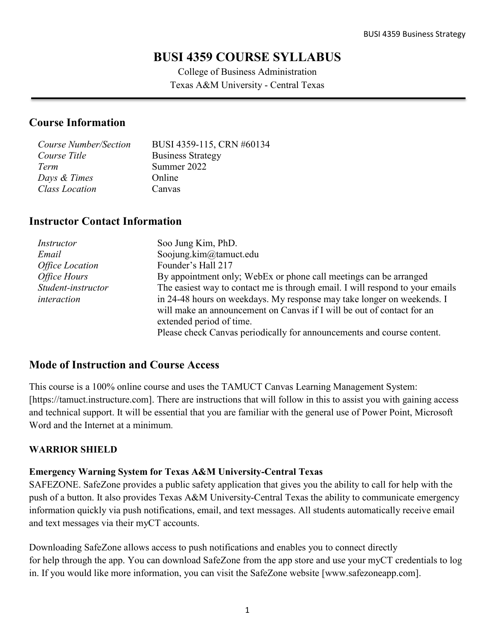# **BUSI 4359 COURSE SYLLABUS**

College of Business Administration Texas A&M University - Central Texas

### **Course Information**

| Course Number/Section | BUSI 4359-115, CRN #60134 |
|-----------------------|---------------------------|
| Course Title          | <b>Business Strategy</b>  |
| Term                  | Summer 2022               |
| Days & Times          | Online                    |
| <b>Class Location</b> | Canvas                    |

### **Instructor Contact Information**

| Instructor             | Soo Jung Kim, PhD.                                                            |
|------------------------|-------------------------------------------------------------------------------|
| Email                  | Soojung.kim@tamuct.edu                                                        |
| <b>Office Location</b> | Founder's Hall 217                                                            |
| Office Hours           | By appointment only; WebEx or phone call meetings can be arranged             |
| Student-instructor     | The easiest way to contact me is through email. I will respond to your emails |
| interaction            | in 24-48 hours on weekdays. My response may take longer on weekends. I        |
|                        | will make an announcement on Canvas if I will be out of contact for an        |
|                        | extended period of time.                                                      |
|                        | Please check Canvas periodically for announcements and course content.        |

### **Mode of Instruction and Course Access**

This course is a 100% online course and uses the TAMUCT Canvas Learning Management System: [https://tamuct.instructure.com]. There are instructions that will follow in this to assist you with gaining access and technical support. It will be essential that you are familiar with the general use of Power Point, Microsoft Word and the Internet at a minimum.

### **WARRIOR SHIELD**

### **Emergency Warning System for Texas A&M University-Central Texas**

SAFEZONE. SafeZone provides a public safety application that gives you the ability to call for help with the push of a button. It also provides Texas A&M University-Central Texas the ability to communicate emergency information quickly via push notifications, email, and text messages. All students automatically receive email and text messages via their myCT accounts.

Downloading SafeZone allows access to push notifications and enables you to connect directly for help through the app. You can download SafeZone from the app store and use your myCT credentials to log in. If you would like more information, you can visit the SafeZone website [www.safezoneapp.com].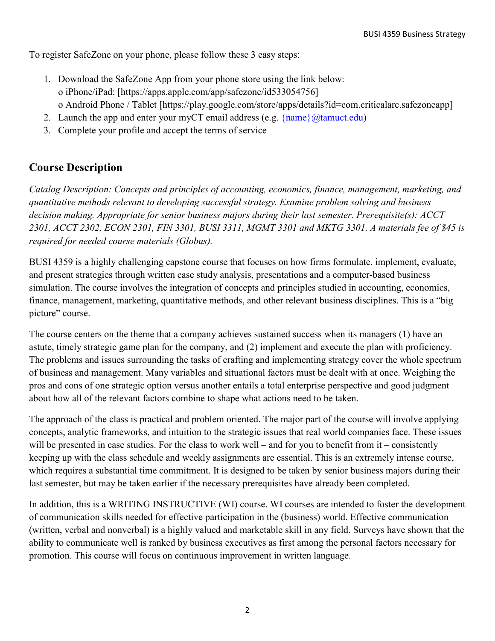To register SafeZone on your phone, please follow these 3 easy steps:

- 1. Download the SafeZone App from your phone store using the link below: o iPhone/iPad: [https://apps.apple.com/app/safezone/id533054756] o Android Phone / Tablet [https://play.google.com/store/apps/details?id=com.criticalarc.safezoneapp]
- 2. Launch the app and enter your myCT email address (e.g.  $\{\text{name}\}\langle\omega\text{tamuct.edu}\rangle$ )
- 3. Complete your profile and accept the terms of service

## **Course Description**

*Catalog Description: Concepts and principles of accounting, economics, finance, management, marketing, and quantitative methods relevant to developing successful strategy. Examine problem solving and business decision making. Appropriate for senior business majors during their last semester. Prerequisite(s): ACCT 2301, ACCT 2302, ECON 2301, FIN 3301, BUSI 3311, MGMT 3301 and MKTG 3301. A materials fee of \$45 is required for needed course materials (Globus).*

BUSI 4359 is a highly challenging capstone course that focuses on how firms formulate, implement, evaluate, and present strategies through written case study analysis, presentations and a computer-based business simulation. The course involves the integration of concepts and principles studied in accounting, economics, finance, management, marketing, quantitative methods, and other relevant business disciplines. This is a "big picture" course.

The course centers on the theme that a company achieves sustained success when its managers (1) have an astute, timely strategic game plan for the company, and (2) implement and execute the plan with proficiency. The problems and issues surrounding the tasks of crafting and implementing strategy cover the whole spectrum of business and management. Many variables and situational factors must be dealt with at once. Weighing the pros and cons of one strategic option versus another entails a total enterprise perspective and good judgment about how all of the relevant factors combine to shape what actions need to be taken.

The approach of the class is practical and problem oriented. The major part of the course will involve applying concepts, analytic frameworks, and intuition to the strategic issues that real world companies face. These issues will be presented in case studies. For the class to work well – and for you to benefit from it – consistently keeping up with the class schedule and weekly assignments are essential. This is an extremely intense course, which requires a substantial time commitment. It is designed to be taken by senior business majors during their last semester, but may be taken earlier if the necessary prerequisites have already been completed.

In addition, this is a WRITING INSTRUCTIVE (WI) course. WI courses are intended to foster the development of communication skills needed for effective participation in the (business) world. Effective communication (written, verbal and nonverbal) is a highly valued and marketable skill in any field. Surveys have shown that the ability to communicate well is ranked by business executives as first among the personal factors necessary for promotion. This course will focus on continuous improvement in written language.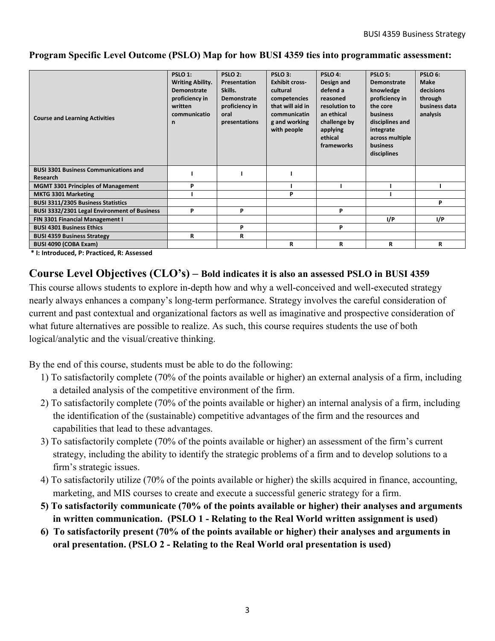#### **Program Specific Level Outcome (PSLO) Map for how BUSI 4359 ties into programmatic assessment:**

| <b>Course and Learning Activities</b>                    | PSLO <sub>1:</sub><br><b>Writing Ability.</b><br>Demonstrate<br>proficiency in<br>written<br>communicatio<br>n | PSLO <sub>2:</sub><br>Presentation<br>Skills.<br>Demonstrate<br>proficiency in<br>oral<br>presentations | PSLO <sub>3</sub> :<br><b>Exhibit cross-</b><br>cultural<br>competencies<br>that will aid in<br>communicatin<br>g and working<br>with people | PSLO 4:<br>Design and<br>defend a<br>reasoned<br>resolution to<br>an ethical<br>challenge by<br>applying<br>ethical<br>frameworks | PSLO <sub>5:</sub><br>Demonstrate<br>knowledge<br>proficiency in<br>the core<br><b>business</b><br>disciplines and<br>integrate<br>across multiple<br>business<br>disciplines | PSLO 6:<br><b>Make</b><br>decisions<br>through<br>business data<br>analysis |
|----------------------------------------------------------|----------------------------------------------------------------------------------------------------------------|---------------------------------------------------------------------------------------------------------|----------------------------------------------------------------------------------------------------------------------------------------------|-----------------------------------------------------------------------------------------------------------------------------------|-------------------------------------------------------------------------------------------------------------------------------------------------------------------------------|-----------------------------------------------------------------------------|
| <b>BUSI 3301 Business Communications and</b><br>Research |                                                                                                                |                                                                                                         |                                                                                                                                              |                                                                                                                                   |                                                                                                                                                                               |                                                                             |
| <b>MGMT 3301 Principles of Management</b>                | P                                                                                                              |                                                                                                         |                                                                                                                                              |                                                                                                                                   |                                                                                                                                                                               |                                                                             |
| <b>MKTG 3301 Marketing</b>                               |                                                                                                                |                                                                                                         | P                                                                                                                                            |                                                                                                                                   |                                                                                                                                                                               |                                                                             |
| <b>BUSI 3311/2305 Business Statistics</b>                |                                                                                                                |                                                                                                         |                                                                                                                                              |                                                                                                                                   |                                                                                                                                                                               | P                                                                           |
| BUSI 3332/2301 Legal Environment of Business             | P                                                                                                              | P                                                                                                       |                                                                                                                                              | P                                                                                                                                 |                                                                                                                                                                               |                                                                             |
| FIN 3301 Financial Management I                          |                                                                                                                |                                                                                                         |                                                                                                                                              |                                                                                                                                   | I/P                                                                                                                                                                           | I/P                                                                         |
| <b>BUSI 4301 Business Ethics</b>                         |                                                                                                                | P                                                                                                       |                                                                                                                                              | P                                                                                                                                 |                                                                                                                                                                               |                                                                             |
| <b>BUSI 4359 Business Strategy</b>                       | R                                                                                                              | R                                                                                                       |                                                                                                                                              |                                                                                                                                   |                                                                                                                                                                               |                                                                             |
| BUSI 4090 (COBA Exam)                                    |                                                                                                                |                                                                                                         | R                                                                                                                                            | R                                                                                                                                 | R                                                                                                                                                                             | R                                                                           |

**\* I: Introduced, P: Practiced, R: Assessed**

### **Course Level Objectives (CLO's) – Bold indicates it is also an assessed PSLO in BUSI 4359**

This course allows students to explore in-depth how and why a well-conceived and well-executed strategy nearly always enhances a company's long-term performance. Strategy involves the careful consideration of current and past contextual and organizational factors as well as imaginative and prospective consideration of what future alternatives are possible to realize. As such, this course requires students the use of both logical/analytic and the visual/creative thinking.

By the end of this course, students must be able to do the following:

- 1) To satisfactorily complete (70% of the points available or higher) an external analysis of a firm, including a detailed analysis of the competitive environment of the firm.
- 2) To satisfactorily complete (70% of the points available or higher) an internal analysis of a firm, including the identification of the (sustainable) competitive advantages of the firm and the resources and capabilities that lead to these advantages.
- 3) To satisfactorily complete (70% of the points available or higher) an assessment of the firm's current strategy, including the ability to identify the strategic problems of a firm and to develop solutions to a firm's strategic issues.
- 4) To satisfactorily utilize (70% of the points available or higher) the skills acquired in finance, accounting, marketing, and MIS courses to create and execute a successful generic strategy for a firm.
- **5) To satisfactorily communicate (70% of the points available or higher) their analyses and arguments in written communication. (PSLO 1 - Relating to the Real World written assignment is used)**
- **6) To satisfactorily present (70% of the points available or higher) their analyses and arguments in oral presentation. (PSLO 2 - Relating to the Real World oral presentation is used)**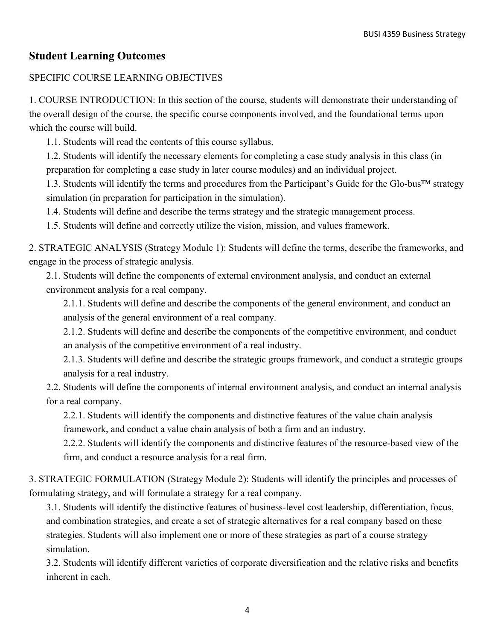## **Student Learning Outcomes**

### SPECIFIC COURSE LEARNING OBJECTIVES

1. COURSE INTRODUCTION: In this section of the course, students will demonstrate their understanding of the overall design of the course, the specific course components involved, and the foundational terms upon which the course will build.

1.1. Students will read the contents of this course syllabus.

1.2. Students will identify the necessary elements for completing a case study analysis in this class (in preparation for completing a case study in later course modules) and an individual project.

1.3. Students will identify the terms and procedures from the Participant's Guide for the Glo-bus™ strategy simulation (in preparation for participation in the simulation).

1.4. Students will define and describe the terms strategy and the strategic management process.

1.5. Students will define and correctly utilize the vision, mission, and values framework.

2. STRATEGIC ANALYSIS (Strategy Module 1): Students will define the terms, describe the frameworks, and engage in the process of strategic analysis.

2.1. Students will define the components of external environment analysis, and conduct an external environment analysis for a real company.

2.1.1. Students will define and describe the components of the general environment, and conduct an analysis of the general environment of a real company.

2.1.2. Students will define and describe the components of the competitive environment, and conduct an analysis of the competitive environment of a real industry.

2.1.3. Students will define and describe the strategic groups framework, and conduct a strategic groups analysis for a real industry.

2.2. Students will define the components of internal environment analysis, and conduct an internal analysis for a real company.

2.2.1. Students will identify the components and distinctive features of the value chain analysis framework, and conduct a value chain analysis of both a firm and an industry.

2.2.2. Students will identify the components and distinctive features of the resource-based view of the firm, and conduct a resource analysis for a real firm.

3. STRATEGIC FORMULATION (Strategy Module 2): Students will identify the principles and processes of formulating strategy, and will formulate a strategy for a real company.

3.1. Students will identify the distinctive features of business-level cost leadership, differentiation, focus, and combination strategies, and create a set of strategic alternatives for a real company based on these strategies. Students will also implement one or more of these strategies as part of a course strategy simulation.

3.2. Students will identify different varieties of corporate diversification and the relative risks and benefits inherent in each.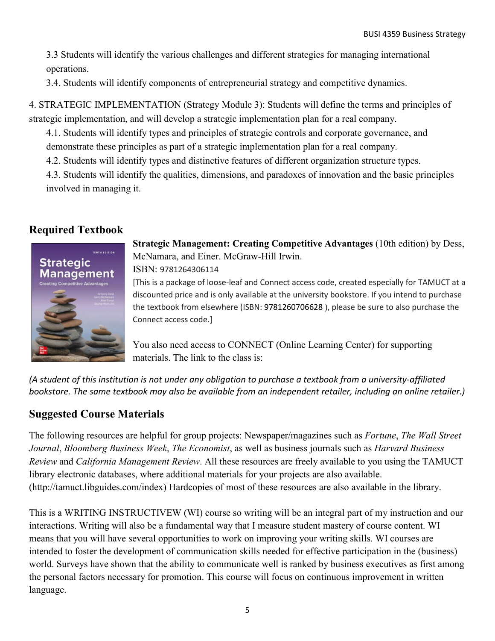3.3 Students will identify the various challenges and different strategies for managing international operations.

3.4. Students will identify components of entrepreneurial strategy and competitive dynamics.

4. STRATEGIC IMPLEMENTATION (Strategy Module 3): Students will define the terms and principles of strategic implementation, and will develop a strategic implementation plan for a real company.

4.1. Students will identify types and principles of strategic controls and corporate governance, and demonstrate these principles as part of a strategic implementation plan for a real company.

4.2. Students will identify types and distinctive features of different organization structure types.

4.3. Students will identify the qualities, dimensions, and paradoxes of innovation and the basic principles involved in managing it.

## **Required Textbook**



**Strategic Management: Creating Competitive Advantages** (10th edition) by Dess, McNamara, and Einer. McGraw-Hill Irwin. ISBN: 9781264306114

[This is a package of loose-leaf and Connect access code, created especially for TAMUCT at a discounted price and is only available at the university bookstore. If you intend to purchase the textbook from elsewhere (ISBN: 9781260706628 ), please be sure to also purchase the Connect access code.]

You also need access to CONNECT (Online Learning Center) for supporting materials. The link to the class is:

*(A student of this institution is not under any obligation to purchase a textbook from a university-affiliated bookstore. The same textbook may also be available from an independent retailer, including an online retailer.)*

## **Suggested Course Materials**

The following resources are helpful for group projects: Newspaper/magazines such as *Fortune*, *The Wall Street Journal*, *Bloomberg Business Week*, *The Economist*, as well as business journals such as *Harvard Business Review* and *California Management Review*. All these resources are freely available to you using the TAMUCT library electronic databases, where additional materials for your projects are also available. (http://tamuct.libguides.com/index) Hardcopies of most of these resources are also available in the library.

This is a WRITING INSTRUCTIVEW (WI) course so writing will be an integral part of my instruction and our interactions. Writing will also be a fundamental way that I measure student mastery of course content. WI means that you will have several opportunities to work on improving your writing skills. WI courses are intended to foster the development of communication skills needed for effective participation in the (business) world. Surveys have shown that the ability to communicate well is ranked by business executives as first among the personal factors necessary for promotion. This course will focus on continuous improvement in written language.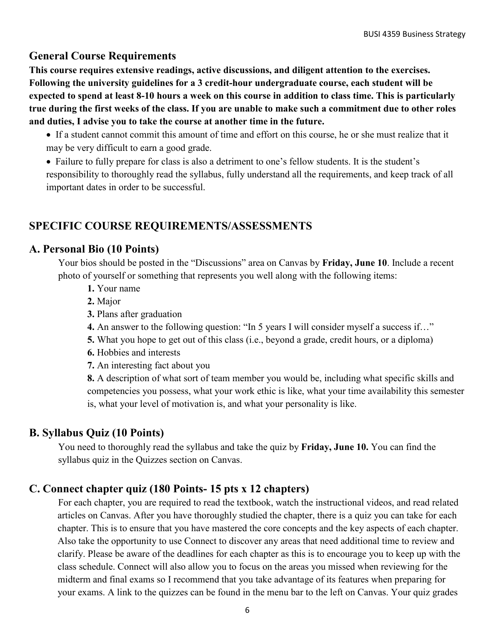### **General Course Requirements**

**This course requires extensive readings, active discussions, and diligent attention to the exercises. Following the university guidelines for a 3 credit-hour undergraduate course, each student will be expected to spend at least 8-10 hours a week on this course in addition to class time. This is particularly true during the first weeks of the class. If you are unable to make such a commitment due to other roles and duties, I advise you to take the course at another time in the future.**

- If a student cannot commit this amount of time and effort on this course, he or she must realize that it may be very difficult to earn a good grade.
- Failure to fully prepare for class is also a detriment to one's fellow students. It is the student's responsibility to thoroughly read the syllabus, fully understand all the requirements, and keep track of all important dates in order to be successful.

## **SPECIFIC COURSE REQUIREMENTS/ASSESSMENTS**

### **A. Personal Bio (10 Points)**

Your bios should be posted in the "Discussions" area on Canvas by **Friday, June 10**. Include a recent photo of yourself or something that represents you well along with the following items:

- **1.** Your name
- **2.** Major
- **3.** Plans after graduation
- **4.** An answer to the following question: "In 5 years I will consider myself a success if…"
- **5.** What you hope to get out of this class (i.e., beyond a grade, credit hours, or a diploma)
- **6.** Hobbies and interests
- **7.** An interesting fact about you

**8.** A description of what sort of team member you would be, including what specific skills and competencies you possess, what your work ethic is like, what your time availability this semester is, what your level of motivation is, and what your personality is like.

## **B. Syllabus Quiz (10 Points)**

You need to thoroughly read the syllabus and take the quiz by **Friday, June 10.** You can find the syllabus quiz in the Quizzes section on Canvas.

## **C. Connect chapter quiz (180 Points- 15 pts x 12 chapters)**

For each chapter, you are required to read the textbook, watch the instructional videos, and read related articles on Canvas. After you have thoroughly studied the chapter, there is a quiz you can take for each chapter. This is to ensure that you have mastered the core concepts and the key aspects of each chapter. Also take the opportunity to use Connect to discover any areas that need additional time to review and clarify. Please be aware of the deadlines for each chapter as this is to encourage you to keep up with the class schedule. Connect will also allow you to focus on the areas you missed when reviewing for the midterm and final exams so I recommend that you take advantage of its features when preparing for your exams. A link to the quizzes can be found in the menu bar to the left on Canvas. Your quiz grades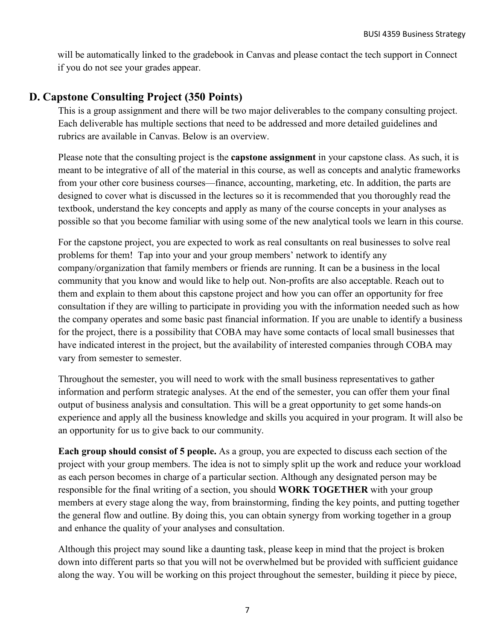will be automatically linked to the gradebook in Canvas and please contact the tech support in Connect if you do not see your grades appear.

## **D. Capstone Consulting Project (350 Points)**

This is a group assignment and there will be two major deliverables to the company consulting project. Each deliverable has multiple sections that need to be addressed and more detailed guidelines and rubrics are available in Canvas. Below is an overview.

Please note that the consulting project is the **capstone assignment** in your capstone class. As such, it is meant to be integrative of all of the material in this course, as well as concepts and analytic frameworks from your other core business courses—finance, accounting, marketing, etc. In addition, the parts are designed to cover what is discussed in the lectures so it is recommended that you thoroughly read the textbook, understand the key concepts and apply as many of the course concepts in your analyses as possible so that you become familiar with using some of the new analytical tools we learn in this course.

For the capstone project, you are expected to work as real consultants on real businesses to solve real problems for them! Tap into your and your group members' network to identify any company/organization that family members or friends are running. It can be a business in the local community that you know and would like to help out. Non-profits are also acceptable. Reach out to them and explain to them about this capstone project and how you can offer an opportunity for free consultation if they are willing to participate in providing you with the information needed such as how the company operates and some basic past financial information. If you are unable to identify a business for the project, there is a possibility that COBA may have some contacts of local small businesses that have indicated interest in the project, but the availability of interested companies through COBA may vary from semester to semester.

Throughout the semester, you will need to work with the small business representatives to gather information and perform strategic analyses. At the end of the semester, you can offer them your final output of business analysis and consultation. This will be a great opportunity to get some hands-on experience and apply all the business knowledge and skills you acquired in your program. It will also be an opportunity for us to give back to our community.

**Each group should consist of 5 people.** As a group, you are expected to discuss each section of the project with your group members. The idea is not to simply split up the work and reduce your workload as each person becomes in charge of a particular section. Although any designated person may be responsible for the final writing of a section, you should **WORK TOGETHER** with your group members at every stage along the way, from brainstorming, finding the key points, and putting together the general flow and outline. By doing this, you can obtain synergy from working together in a group and enhance the quality of your analyses and consultation.

Although this project may sound like a daunting task, please keep in mind that the project is broken down into different parts so that you will not be overwhelmed but be provided with sufficient guidance along the way. You will be working on this project throughout the semester, building it piece by piece,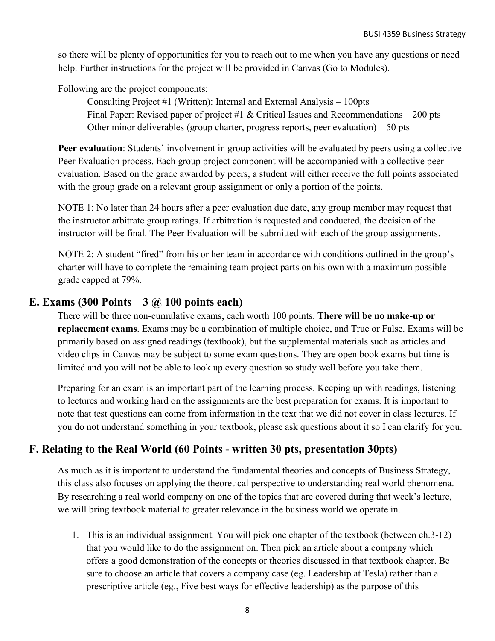so there will be plenty of opportunities for you to reach out to me when you have any questions or need help. Further instructions for the project will be provided in Canvas (Go to Modules).

Following are the project components:

Consulting Project #1 (Written): Internal and External Analysis – 100pts Final Paper: Revised paper of project #1 & Critical Issues and Recommendations  $-200$  pts Other minor deliverables (group charter, progress reports, peer evaluation) – 50 pts

**Peer evaluation**: Students' involvement in group activities will be evaluated by peers using a collective Peer Evaluation process. Each group project component will be accompanied with a collective peer evaluation. Based on the grade awarded by peers, a student will either receive the full points associated with the group grade on a relevant group assignment or only a portion of the points.

NOTE 1: No later than 24 hours after a peer evaluation due date, any group member may request that the instructor arbitrate group ratings. If arbitration is requested and conducted, the decision of the instructor will be final. The Peer Evaluation will be submitted with each of the group assignments.

NOTE 2: A student "fired" from his or her team in accordance with conditions outlined in the group's charter will have to complete the remaining team project parts on his own with a maximum possible grade capped at 79%.

## **E. Exams (300 Points – 3 @ 100 points each)**

There will be three non-cumulative exams, each worth 100 points. **There will be no make-up or replacement exams**. Exams may be a combination of multiple choice, and True or False. Exams will be primarily based on assigned readings (textbook), but the supplemental materials such as articles and video clips in Canvas may be subject to some exam questions. They are open book exams but time is limited and you will not be able to look up every question so study well before you take them.

Preparing for an exam is an important part of the learning process. Keeping up with readings, listening to lectures and working hard on the assignments are the best preparation for exams. It is important to note that test questions can come from information in the text that we did not cover in class lectures. If you do not understand something in your textbook, please ask questions about it so I can clarify for you.

## **F. Relating to the Real World (60 Points - written 30 pts, presentation 30pts)**

As much as it is important to understand the fundamental theories and concepts of Business Strategy, this class also focuses on applying the theoretical perspective to understanding real world phenomena. By researching a real world company on one of the topics that are covered during that week's lecture, we will bring textbook material to greater relevance in the business world we operate in.

1. This is an individual assignment. You will pick one chapter of the textbook (between ch.3-12) that you would like to do the assignment on. Then pick an article about a company which offers a good demonstration of the concepts or theories discussed in that textbook chapter. Be sure to choose an article that covers a company case (eg. Leadership at Tesla) rather than a prescriptive article (eg., Five best ways for effective leadership) as the purpose of this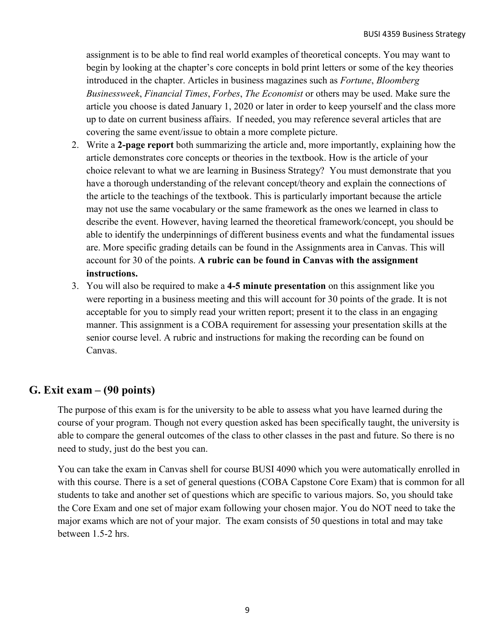assignment is to be able to find real world examples of theoretical concepts. You may want to begin by looking at the chapter's core concepts in bold print letters or some of the key theories introduced in the chapter. Articles in business magazines such as *Fortune*, *Bloomberg Businessweek*, *Financial Times*, *Forbes*, *The Economist* or others may be used. Make sure the article you choose is dated January 1, 2020 or later in order to keep yourself and the class more up to date on current business affairs. If needed, you may reference several articles that are covering the same event/issue to obtain a more complete picture.

- 2. Write a **2-page report** both summarizing the article and, more importantly, explaining how the article demonstrates core concepts or theories in the textbook. How is the article of your choice relevant to what we are learning in Business Strategy? You must demonstrate that you have a thorough understanding of the relevant concept/theory and explain the connections of the article to the teachings of the textbook. This is particularly important because the article may not use the same vocabulary or the same framework as the ones we learned in class to describe the event. However, having learned the theoretical framework/concept, you should be able to identify the underpinnings of different business events and what the fundamental issues are. More specific grading details can be found in the Assignments area in Canvas. This will account for 30 of the points. **A rubric can be found in Canvas with the assignment instructions.**
- 3. You will also be required to make a **4-5 minute presentation** on this assignment like you were reporting in a business meeting and this will account for 30 points of the grade. It is not acceptable for you to simply read your written report; present it to the class in an engaging manner. This assignment is a COBA requirement for assessing your presentation skills at the senior course level. A rubric and instructions for making the recording can be found on Canvas.

## **G. Exit exam – (90 points)**

The purpose of this exam is for the university to be able to assess what you have learned during the course of your program. Though not every question asked has been specifically taught, the university is able to compare the general outcomes of the class to other classes in the past and future. So there is no need to study, just do the best you can.

You can take the exam in Canvas shell for course BUSI 4090 which you were automatically enrolled in with this course. There is a set of general questions (COBA Capstone Core Exam) that is common for all students to take and another set of questions which are specific to various majors. So, you should take the Core Exam and one set of major exam following your chosen major. You do NOT need to take the major exams which are not of your major. The exam consists of 50 questions in total and may take between 1.5-2 hrs.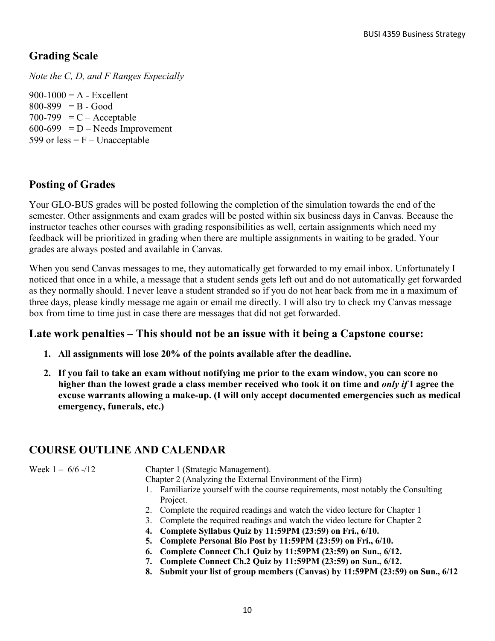## **Grading Scale**

*Note the C, D, and F Ranges Especially*

 $900-1000 = A - Excellent$  $800-899 = B - Good$  $700-799 = C - Acceptable$  $600-699$  = D – Needs Improvement 599 or less  $=$  F – Unacceptable

## **Posting of Grades**

Your GLO-BUS grades will be posted following the completion of the simulation towards the end of the semester. Other assignments and exam grades will be posted within six business days in Canvas. Because the instructor teaches other courses with grading responsibilities as well, certain assignments which need my feedback will be prioritized in grading when there are multiple assignments in waiting to be graded. Your grades are always posted and available in Canvas*.*

When you send Canvas messages to me, they automatically get forwarded to my email inbox. Unfortunately I noticed that once in a while, a message that a student sends gets left out and do not automatically get forwarded as they normally should. I never leave a student stranded so if you do not hear back from me in a maximum of three days, please kindly message me again or email me directly. I will also try to check my Canvas message box from time to time just in case there are messages that did not get forwarded.

### **Late work penalties – This should not be an issue with it being a Capstone course:**

- **1. All assignments will lose 20% of the points available after the deadline.**
- **2. If you fail to take an exam without notifying me prior to the exam window, you can score no higher than the lowest grade a class member received who took it on time and** *only if* **I agree the excuse warrants allowing a make-up. (I will only accept documented emergencies such as medical emergency, funerals, etc.)**

## **COURSE OUTLINE AND CALENDAR**

Week 1 – 6/6 -/12 Chapter 1 (Strategic Management).

Chapter 2 (Analyzing the External Environment of the Firm)

- 1. Familiarize yourself with the course requirements, most notably the Consulting Project.
- 2. Complete the required readings and watch the video lecture for Chapter 1
- 3. Complete the required readings and watch the video lecture for Chapter 2
	- **4. Complete Syllabus Quiz by 11:59PM (23:59) on Fri., 6/10.**
- **5. Complete Personal Bio Post by 11:59PM (23:59) on Fri., 6/10.**
- **6. Complete Connect Ch.1 Quiz by 11:59PM (23:59) on Sun., 6/12.**
- **7. Complete Connect Ch.2 Quiz by 11:59PM (23:59) on Sun., 6/12.**
- **8. Submit your list of group members (Canvas) by 11:59PM (23:59) on Sun., 6/12**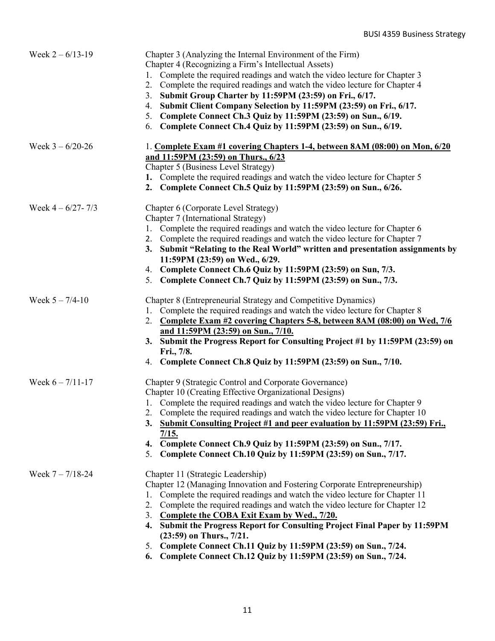| Week $2 - 6/13 - 19$  | Chapter 3 (Analyzing the Internal Environment of the Firm)<br>Chapter 4 (Recognizing a Firm's Intellectual Assets)<br>1. Complete the required readings and watch the video lecture for Chapter 3<br>2. Complete the required readings and watch the video lecture for Chapter 4<br>3. Submit Group Charter by 11:59PM (23:59) on Fri., 6/17.<br>4. Submit Client Company Selection by 11:59PM (23:59) on Fri., 6/17.<br>5. Complete Connect Ch.3 Quiz by 11:59PM (23:59) on Sun., 6/19.<br>6. Complete Connect Ch.4 Quiz by 11:59PM (23:59) on Sun., 6/19.                                   |
|-----------------------|-----------------------------------------------------------------------------------------------------------------------------------------------------------------------------------------------------------------------------------------------------------------------------------------------------------------------------------------------------------------------------------------------------------------------------------------------------------------------------------------------------------------------------------------------------------------------------------------------|
| Week $3 - 6/20 - 26$  | 1. Complete Exam #1 covering Chapters 1-4, between 8AM (08:00) on Mon, 6/20<br>and 11:59PM (23:59) on Thurs., 6/23<br>Chapter 5 (Business Level Strategy)<br>1. Complete the required readings and watch the video lecture for Chapter 5<br>2. Complete Connect Ch.5 Quiz by 11:59PM (23:59) on Sun., 6/26.                                                                                                                                                                                                                                                                                   |
| Week $4 - 6/27 - 7/3$ | Chapter 6 (Corporate Level Strategy)<br>Chapter 7 (International Strategy)<br>1. Complete the required readings and watch the video lecture for Chapter 6<br>2. Complete the required readings and watch the video lecture for Chapter 7<br>3. Submit "Relating to the Real World" written and presentation assignments by<br>11:59PM (23:59) on Wed., 6/29.<br>4. Complete Connect Ch.6 Quiz by 11:59PM (23:59) on Sun, 7/3.<br>5. Complete Connect Ch.7 Quiz by 11:59PM (23:59) on Sun., 7/3.                                                                                               |
| Week $5 - 7/4 - 10$   | Chapter 8 (Entrepreneurial Strategy and Competitive Dynamics)<br>1. Complete the required readings and watch the video lecture for Chapter 8<br>2. Complete Exam #2 covering Chapters 5-8, between 8AM (08:00) on Wed, 7/6<br>and 11:59PM (23:59) on Sun., 7/10.<br>3. Submit the Progress Report for Consulting Project #1 by 11:59PM (23:59) on<br>Fri., 7/8.<br>4. Complete Connect Ch.8 Quiz by 11:59PM (23:59) on Sun., 7/10.                                                                                                                                                            |
| Week $6 - 7/11 - 17$  | Chapter 9 (Strategic Control and Corporate Governance)<br>Chapter 10 (Creating Effective Organizational Designs)<br>1. Complete the required readings and watch the video lecture for Chapter 9<br>Complete the required readings and watch the video lecture for Chapter 10<br>Submit Consulting Project #1 and peer evaluation by 11:59PM (23:59) Fri.,<br>3.<br>$\frac{7}{15}$ .<br>Complete Connect Ch.9 Quiz by 11:59PM (23:59) on Sun., 7/17.<br>4.<br>Complete Connect Ch.10 Quiz by 11:59PM (23:59) on Sun., 7/17.<br>5.                                                              |
| Week $7 - 7/18 - 24$  | Chapter 11 (Strategic Leadership)<br>Chapter 12 (Managing Innovation and Fostering Corporate Entrepreneurship)<br>Complete the required readings and watch the video lecture for Chapter 11<br>Complete the required readings and watch the video lecture for Chapter 12<br>2.<br>Complete the COBA Exit Exam by Wed., 7/20.<br>3.<br>4. Submit the Progress Report for Consulting Project Final Paper by 11:59PM<br>$(23:59)$ on Thurs., $7/21$ .<br>5. Complete Connect Ch.11 Quiz by 11:59PM (23:59) on Sun., 7/24.<br>$\triangle$ CL 12 O <sub>111</sub> L <sub>1</sub> 11.50DM (22.50) c |

**6. Complete Connect Ch.12 Quiz by 11:59PM (23:59) on Sun., 7/24.**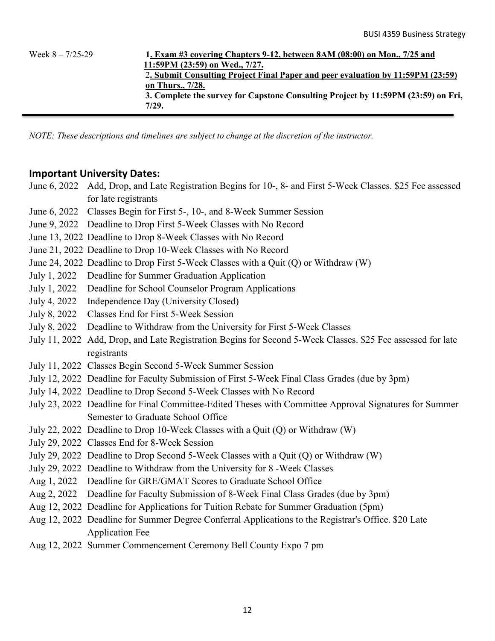Week 8 – 7/25-29 **1. Exam #3 covering Chapters 9-12, between 8AM (08:00) on Mon., 7/25 and 11:59PM (23:59) on Wed., 7/27.** 2**. Submit Consulting Project Final Paper and peer evaluation by 11:59PM (23:59) on Thurs., 7/28. 3. Complete the survey for Capstone Consulting Project by 11:59PM (23:59) on Fri, 7/29.**

*NOTE: These descriptions and timelines are subject to change at the discretion of the instructor.* 

### **Important University Dates:**

- June 6, 2022 Add, Drop, and Late Registration Begins for 10-, 8- and First 5-Week Classes. \$25 Fee assessed for late registrants
- June 6, 2022 Classes Begin for First 5-, 10-, and 8-Week Summer Session
- June 9, 2022 Deadline to Drop First 5-Week Classes with No Record
- June 13, 2022 Deadline to Drop 8-Week Classes with No Record
- June 21, 2022 Deadline to Drop 10-Week Classes with No Record
- June 24, 2022 Deadline to Drop First 5-Week Classes with a Quit (Q) or Withdraw (W)
- July 1, 2022 Deadline for Summer Graduation Application
- July 1, 2022 Deadline for School Counselor Program Applications
- July 4, 2022 Independence Day (University Closed)
- July 8, 2022 Classes End for First 5-Week Session
- July 8, 2022 Deadline to Withdraw from the University for First 5-Week Classes
- July 11, 2022 Add, Drop, and Late Registration Begins for Second 5-Week Classes. \$25 Fee assessed for late registrants
- July 11, 2022 Classes Begin Second 5-Week Summer Session
- July 12, 2022 Deadline for Faculty Submission of First 5-Week Final Class Grades (due by 3pm)
- July 14, 2022 Deadline to Drop Second 5-Week Classes with No Record
- July 23, 2022 Deadline for Final Committee-Edited Theses with Committee Approval Signatures for Summer Semester to Graduate School Office
- July 22, 2022 Deadline to Drop 10-Week Classes with a Quit (Q) or Withdraw (W)
- July 29, 2022 Classes End for 8-Week Session
- July 29, 2022 Deadline to Drop Second 5-Week Classes with a Quit (Q) or Withdraw (W)
- July 29, 2022 Deadline to Withdraw from the University for 8 -Week Classes
- Aug 1, 2022 Deadline for GRE/GMAT Scores to Graduate School Office
- Aug 2, 2022 Deadline for Faculty Submission of 8-Week Final Class Grades (due by 3pm)
- Aug 12, 2022 Deadline for Applications for Tuition Rebate for Summer Graduation (5pm)
- Aug 12, 2022 Deadline for Summer Degree Conferral Applications to the Registrar's Office. \$20 Late Application Fee
- Aug 12, 2022 Summer Commencement Ceremony Bell County Expo 7 pm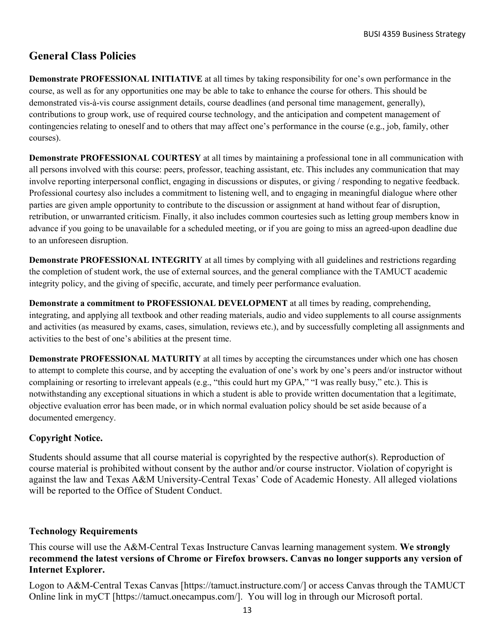## **General Class Policies**

**Demonstrate PROFESSIONAL INITIATIVE** at all times by taking responsibility for one's own performance in the course, as well as for any opportunities one may be able to take to enhance the course for others. This should be demonstrated vis-à-vis course assignment details, course deadlines (and personal time management, generally), contributions to group work, use of required course technology, and the anticipation and competent management of contingencies relating to oneself and to others that may affect one's performance in the course (e.g., job, family, other courses).

**Demonstrate PROFESSIONAL COURTESY** at all times by maintaining a professional tone in all communication with all persons involved with this course: peers, professor, teaching assistant, etc. This includes any communication that may involve reporting interpersonal conflict, engaging in discussions or disputes, or giving / responding to negative feedback. Professional courtesy also includes a commitment to listening well, and to engaging in meaningful dialogue where other parties are given ample opportunity to contribute to the discussion or assignment at hand without fear of disruption, retribution, or unwarranted criticism. Finally, it also includes common courtesies such as letting group members know in advance if you going to be unavailable for a scheduled meeting, or if you are going to miss an agreed-upon deadline due to an unforeseen disruption.

**Demonstrate PROFESSIONAL INTEGRITY** at all times by complying with all guidelines and restrictions regarding the completion of student work, the use of external sources, and the general compliance with the TAMUCT academic integrity policy, and the giving of specific, accurate, and timely peer performance evaluation.

**Demonstrate a commitment to PROFESSIONAL DEVELOPMENT** at all times by reading, comprehending, integrating, and applying all textbook and other reading materials, audio and video supplements to all course assignments and activities (as measured by exams, cases, simulation, reviews etc.), and by successfully completing all assignments and activities to the best of one's abilities at the present time.

**Demonstrate PROFESSIONAL MATURITY** at all times by accepting the circumstances under which one has chosen to attempt to complete this course, and by accepting the evaluation of one's work by one's peers and/or instructor without complaining or resorting to irrelevant appeals (e.g., "this could hurt my GPA," "I was really busy," etc.). This is notwithstanding any exceptional situations in which a student is able to provide written documentation that a legitimate, objective evaluation error has been made, or in which normal evaluation policy should be set aside because of a documented emergency.

### **Copyright Notice.**

Students should assume that all course material is copyrighted by the respective author(s). Reproduction of course material is prohibited without consent by the author and/or course instructor. Violation of copyright is against the law and Texas A&M University-Central Texas' Code of Academic Honesty. All alleged violations will be reported to the Office of Student Conduct.

### **Technology Requirements**

This course will use the A&M-Central Texas Instructure Canvas learning management system. **We strongly recommend the latest versions of Chrome or Firefox browsers. Canvas no longer supports any version of Internet Explorer.**

Logon to A&M-Central Texas Canvas [https://tamuct.instructure.com/] or access Canvas through the TAMUCT Online link in myCT [https://tamuct.onecampus.com/]. You will log in through our Microsoft portal.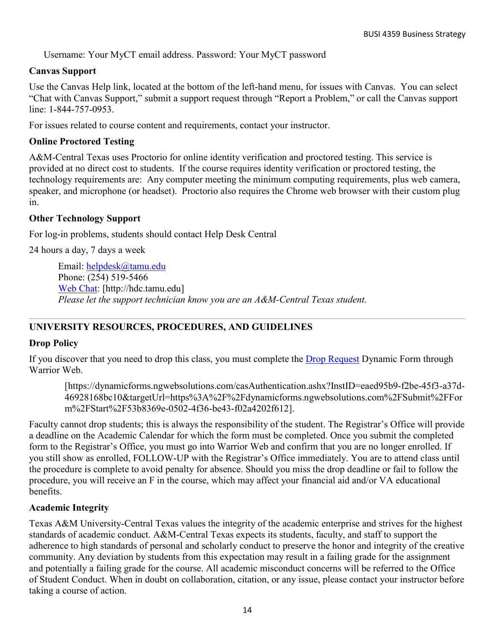Username: Your MyCT email address. Password: Your MyCT password

### **Canvas Support**

Use the Canvas Help link, located at the bottom of the left-hand menu, for issues with Canvas. You can select "Chat with Canvas Support," submit a support request through "Report a Problem," or call the Canvas support line: 1-844-757-0953.

For issues related to course content and requirements, contact your instructor.

### **Online Proctored Testing**

A&M-Central Texas uses Proctorio for online identity verification and proctored testing. This service is provided at no direct cost to students. If the course requires identity verification or proctored testing, the technology requirements are: Any computer meeting the minimum computing requirements, plus web camera, speaker, and microphone (or headset). Proctorio also requires the Chrome web browser with their custom plug in.

### **Other Technology Support**

For log-in problems, students should contact Help Desk Central

24 hours a day, 7 days a week

Email: [helpdesk@tamu.edu](mailto:helpdesk@tamu.edu) Phone: (254) 519-5466 [Web Chat:](http://hdc.tamu.edu/) [http://hdc.tamu.edu] *Please let the support technician know you are an A&M-Central Texas student.*

### **UNIVERSITY RESOURCES, PROCEDURES, AND GUIDELINES**

### **Drop Policy**

If you discover that you need to drop this class, you must complete the [Drop Request](https://dynamicforms.ngwebsolutions.com/casAuthentication.ashx?InstID=eaed95b9-f2be-45f3-a37d-46928168bc10&targetUrl=https%3A%2F%2Fdynamicforms.ngwebsolutions.com%2FSubmit%2FForm%2FStart%2F53b8369e-0502-4f36-be43-f02a4202f612) Dynamic Form through Warrior Web.

[https://dynamicforms.ngwebsolutions.com/casAuthentication.ashx?InstID=eaed95b9-f2be-45f3-a37d-46928168bc10&targetUrl=https%3A%2F%2Fdynamicforms.ngwebsolutions.com%2FSubmit%2FFor m%2FStart%2F53b8369e-0502-4f36-be43-f02a4202f612].

Faculty cannot drop students; this is always the responsibility of the student. The Registrar's Office will provide a deadline on the Academic Calendar for which the form must be completed. Once you submit the completed form to the Registrar's Office, you must go into Warrior Web and confirm that you are no longer enrolled. If you still show as enrolled, FOLLOW-UP with the Registrar's Office immediately. You are to attend class until the procedure is complete to avoid penalty for absence. Should you miss the drop deadline or fail to follow the procedure, you will receive an F in the course, which may affect your financial aid and/or VA educational benefits.

### **Academic Integrity**

Texas A&M University-Central Texas values the integrity of the academic enterprise and strives for the highest standards of academic conduct. A&M-Central Texas expects its students, faculty, and staff to support the adherence to high standards of personal and scholarly conduct to preserve the honor and integrity of the creative community. Any deviation by students from this expectation may result in a failing grade for the assignment and potentially a failing grade for the course. All academic misconduct concerns will be referred to the Office of Student Conduct. When in doubt on collaboration, citation, or any issue, please contact your instructor before taking a course of action.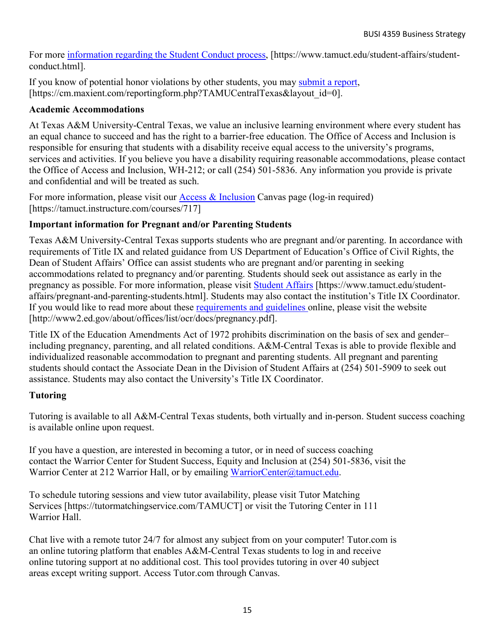For more [information](https://nam04.safelinks.protection.outlook.com/?url=https%3A%2F%2Fwww.tamuct.edu%2Fstudent-affairs%2Fstudent-conduct.html&data=04%7C01%7Clisa.bunkowski%40tamuct.edu%7Ccfb6e486f24745f53e1a08d910055cb2%7C9eed4e3000f744849ff193ad8005acec%7C0%7C0%7C637558437485252160%7CUnknown%7CTWFpbGZsb3d8eyJWIjoiMC4wLjAwMDAiLCJQIjoiV2luMzIiLCJBTiI6Ik1haWwiLCJXVCI6Mn0%3D%7C1000&sdata=yjftDEVHvLX%2FhM%2FcFU0B99krV1RgEWR%2BJ%2BhvtoR6TYk%3D&reserved=0) regarding the Student Conduct process, [https://www.tamuct.edu/student-affairs/studentconduct.html].

If you know of potential honor violations by other students, you may [submit](https://nam04.safelinks.protection.outlook.com/?url=https%3A%2F%2Fcm.maxient.com%2Freportingform.php%3FTAMUCentralTexas%26layout_id%3D0&data=04%7C01%7Clisa.bunkowski%40tamuct.edu%7Ccfb6e486f24745f53e1a08d910055cb2%7C9eed4e3000f744849ff193ad8005acec%7C0%7C0%7C637558437485262157%7CUnknown%7CTWFpbGZsb3d8eyJWIjoiMC4wLjAwMDAiLCJQIjoiV2luMzIiLCJBTiI6Ik1haWwiLCJXVCI6Mn0%3D%7C1000&sdata=CXGkOa6uPDPX1IMZ87z3aZDq2n91xfHKu4MMS43Ejjk%3D&reserved=0) a report, [https://cm.maxient.com/reportingform.php?TAMUCentralTexas&layout\_id=0].

### **Academic Accommodations**

At Texas A&M University-Central Texas, we value an inclusive learning environment where every student has an equal chance to succeed and has the right to a barrier-free education. The Office of Access and Inclusion is responsible for ensuring that students with a disability receive equal access to the university's programs, services and activities. If you believe you have a disability requiring reasonable accommodations, please contact the Office of Access and Inclusion, WH-212; or call (254) 501-5836. Any information you provide is private and confidential and will be treated as such.

For more information, please visit our **Access & Inclusion** Canvas page (log-in required) [https://tamuct.instructure.com/courses/717]

### **Important information for Pregnant and/or Parenting Students**

Texas A&M University-Central Texas supports students who are pregnant and/or parenting. In accordance with requirements of Title IX and related guidance from US Department of Education's Office of Civil Rights, the Dean of Student Affairs' Office can assist students who are pregnant and/or parenting in seeking accommodations related to pregnancy and/or parenting. Students should seek out assistance as early in the pregnancy as possible. For more information, please visit [Student Affairs](https://www.tamuct.edu/student-affairs/pregnant-and-parenting-students.html) [https://www.tamuct.edu/studentaffairs/pregnant-and-parenting-students.html]. Students may also contact the institution's Title IX Coordinator. If you would like to read more about these [requirements and guidelines](http://www2.ed.gov/about/offices/list/ocr/docs/pregnancy.pdf) online, please visit the website [http://www2.ed.gov/about/offices/list/ocr/docs/pregnancy.pdf].

Title IX of the Education Amendments Act of 1972 prohibits discrimination on the basis of sex and gender– including pregnancy, parenting, and all related conditions. A&M-Central Texas is able to provide flexible and individualized reasonable accommodation to pregnant and parenting students. All pregnant and parenting students should contact the Associate Dean in the Division of Student Affairs at (254) 501-5909 to seek out assistance. Students may also contact the University's Title IX Coordinator.

### **Tutoring**

Tutoring is available to all A&M-Central Texas students, both virtually and in-person. Student success coaching is available online upon request.

If you have a question, are interested in becoming a tutor, or in need of success coaching contact the Warrior Center for Student Success, Equity and Inclusion at (254) 501-5836, visit the Warrior Center at 212 Warrior Hall, or by emailing [WarriorCenter@tamuct.edu.](mailto:WarriorCenter@tamuct.edu)

To schedule tutoring sessions and view tutor availability, please visit Tutor Matching Services [https://tutormatchingservice.com/TAMUCT] or visit the Tutoring Center in 111 Warrior Hall.

Chat live with a remote tutor 24/7 for almost any subject from on your computer! Tutor.com is an online tutoring platform that enables A&M-Central Texas students to log in and receive online tutoring support at no additional cost. This tool provides tutoring in over 40 subject areas except writing support. Access Tutor.com through Canvas.